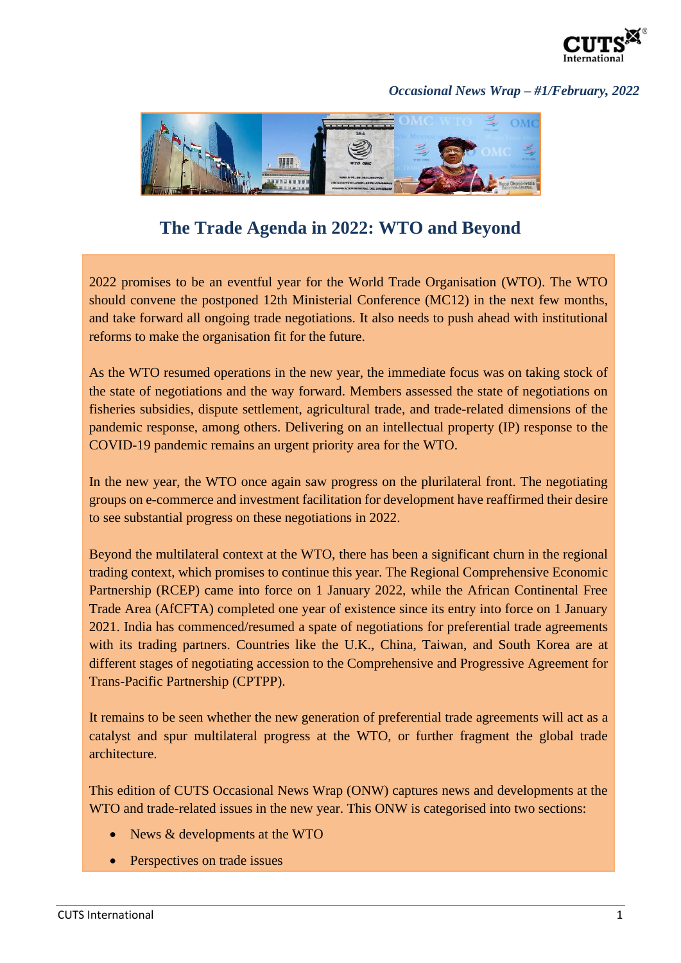

## *Occasional News Wrap – #1/February, 2022*



## **The Trade Agenda in 2022: WTO and Beyond**

2022 promises to be an eventful year for the World Trade Organisation (WTO). The WTO should convene the postponed 12th Ministerial Conference (MC12) in the next few months, and take forward all ongoing trade negotiations. It also needs to push ahead with institutional reforms to make the organisation fit for the future.

As the WTO resumed operations in the new year, the immediate focus was on taking stock of the state of negotiations and the way forward. Members assessed the state of negotiations on fisheries subsidies, dispute settlement, agricultural trade, and trade-related dimensions of the pandemic response, among others. Delivering on an intellectual property (IP) response to the COVID-19 pandemic remains an urgent priority area for the WTO.

In the new year, the WTO once again saw progress on the plurilateral front. The negotiating groups on e-commerce and investment facilitation for development have reaffirmed their desire to see substantial progress on these negotiations in 2022.

Beyond the multilateral context at the WTO, there has been a significant churn in the regional trading context, which promises to continue this year. The Regional Comprehensive Economic Partnership (RCEP) came into force on 1 January 2022, while the African Continental Free Trade Area (AfCFTA) completed one year of existence since its entry into force on 1 January 2021. India has commenced/resumed a spate of negotiations for preferential trade agreements with its trading partners. Countries like the U.K., China, Taiwan, and South Korea are at different stages of negotiating accession to the Comprehensive and Progressive Agreement for Trans-Pacific Partnership (CPTPP).

It remains to be seen whether the new generation of preferential trade agreements will act as a catalyst and spur multilateral progress at the WTO, or further fragment the global trade architecture.

This edition of CUTS Occasional News Wrap (ONW) captures news and developments at the WTO and trade-related issues in the new year. This ONW is categorised into two sections:

- News & developments at the WTO
- Perspectives on trade issues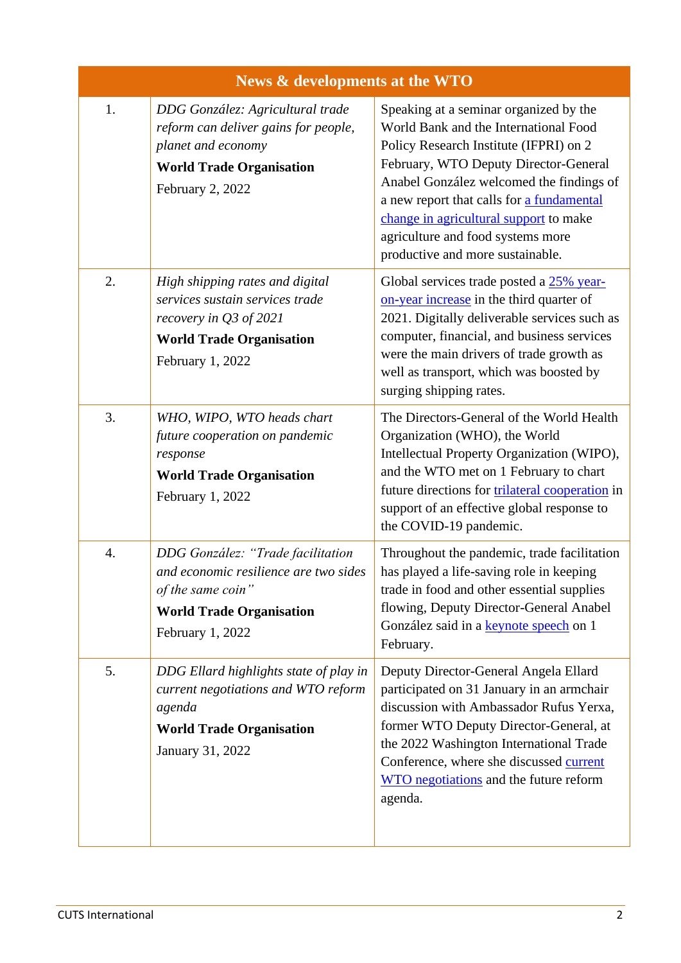| News & developments at the WTO |                                                                                                                                                        |                                                                                                                                                                                                                                                                                                                                                                                |
|--------------------------------|--------------------------------------------------------------------------------------------------------------------------------------------------------|--------------------------------------------------------------------------------------------------------------------------------------------------------------------------------------------------------------------------------------------------------------------------------------------------------------------------------------------------------------------------------|
| 1.                             | DDG González: Agricultural trade<br>reform can deliver gains for people,<br>planet and economy<br><b>World Trade Organisation</b><br>February 2, 2022  | Speaking at a seminar organized by the<br>World Bank and the International Food<br>Policy Research Institute (IFPRI) on 2<br>February, WTO Deputy Director-General<br>Anabel González welcomed the findings of<br>a new report that calls for a fundamental<br>change in agricultural support to make<br>agriculture and food systems more<br>productive and more sustainable. |
| 2.                             | High shipping rates and digital<br>services sustain services trade<br>recovery in $Q3$ of 2021<br><b>World Trade Organisation</b><br>February 1, 2022  | Global services trade posted a 25% year-<br>on-year increase in the third quarter of<br>2021. Digitally deliverable services such as<br>computer, financial, and business services<br>were the main drivers of trade growth as<br>well as transport, which was boosted by<br>surging shipping rates.                                                                           |
| 3.                             | WHO, WIPO, WTO heads chart<br>future cooperation on pandemic<br>response<br><b>World Trade Organisation</b><br>February 1, 2022                        | The Directors-General of the World Health<br>Organization (WHO), the World<br>Intellectual Property Organization (WIPO),<br>and the WTO met on 1 February to chart<br>future directions for trilateral cooperation in<br>support of an effective global response to<br>the COVID-19 pandemic.                                                                                  |
| 4.                             | DDG González: "Trade facilitation<br>and economic resilience are two sides<br>of the same coin"<br><b>World Trade Organisation</b><br>February 1, 2022 | Throughout the pandemic, trade facilitation<br>has played a life-saving role in keeping<br>trade in food and other essential supplies<br>flowing, Deputy Director-General Anabel<br>González said in a keynote speech on 1<br>February.                                                                                                                                        |
| 5.                             | DDG Ellard highlights state of play in<br>current negotiations and WTO reform<br>agenda<br><b>World Trade Organisation</b><br>January 31, 2022         | Deputy Director-General Angela Ellard<br>participated on 31 January in an armchair<br>discussion with Ambassador Rufus Yerxa,<br>former WTO Deputy Director-General, at<br>the 2022 Washington International Trade<br>Conference, where she discussed current<br>WTO negotiations and the future reform<br>agenda.                                                             |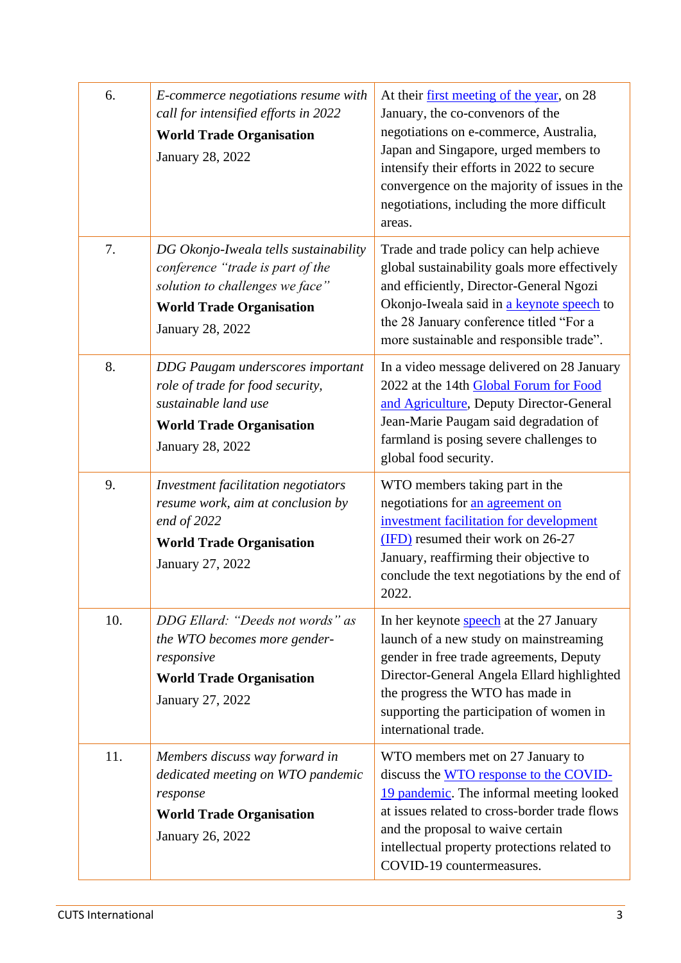| 6.  | E-commerce negotiations resume with<br>call for intensified efforts in 2022<br><b>World Trade Organisation</b><br>January 28, 2022                                  | At their <u>first meeting of the year</u> , on 28<br>January, the co-convenors of the<br>negotiations on e-commerce, Australia,<br>Japan and Singapore, urged members to<br>intensify their efforts in 2022 to secure<br>convergence on the majority of issues in the<br>negotiations, including the more difficult<br>areas. |
|-----|---------------------------------------------------------------------------------------------------------------------------------------------------------------------|-------------------------------------------------------------------------------------------------------------------------------------------------------------------------------------------------------------------------------------------------------------------------------------------------------------------------------|
| 7.  | DG Okonjo-Iweala tells sustainability<br>conference "trade is part of the<br>solution to challenges we face"<br><b>World Trade Organisation</b><br>January 28, 2022 | Trade and trade policy can help achieve<br>global sustainability goals more effectively<br>and efficiently, Director-General Ngozi<br>Okonjo-Iweala said in a keynote speech to<br>the 28 January conference titled "For a<br>more sustainable and responsible trade".                                                        |
| 8.  | <b>DDG Paugam underscores important</b><br>role of trade for food security,<br>sustainable land use<br><b>World Trade Organisation</b><br>January 28, 2022          | In a video message delivered on 28 January<br>2022 at the 14th Global Forum for Food<br>and Agriculture, Deputy Director-General<br>Jean-Marie Paugam said degradation of<br>farmland is posing severe challenges to<br>global food security.                                                                                 |
| 9.  | Investment facilitation negotiators<br>resume work, aim at conclusion by<br>end of $2022$<br><b>World Trade Organisation</b><br>January 27, 2022                    | WTO members taking part in the<br>negotiations for an agreement on<br>investment facilitation for development<br>(IFD) resumed their work on 26-27<br>January, reaffirming their objective to<br>conclude the text negotiations by the end of<br>2022                                                                         |
| 10. | DDG Ellard: "Deeds not words" as<br>the WTO becomes more gender-<br>responsive<br><b>World Trade Organisation</b><br>January 27, 2022                               | In her keynote <b>speech</b> at the 27 January<br>launch of a new study on mainstreaming<br>gender in free trade agreements, Deputy<br>Director-General Angela Ellard highlighted<br>the progress the WTO has made in<br>supporting the participation of women in<br>international trade.                                     |
| 11. | Members discuss way forward in<br>dedicated meeting on WTO pandemic<br>response<br><b>World Trade Organisation</b><br>January 26, 2022                              | WTO members met on 27 January to<br>discuss the WTO response to the COVID-<br>19 pandemic. The informal meeting looked<br>at issues related to cross-border trade flows<br>and the proposal to waive certain<br>intellectual property protections related to<br>COVID-19 countermeasures.                                     |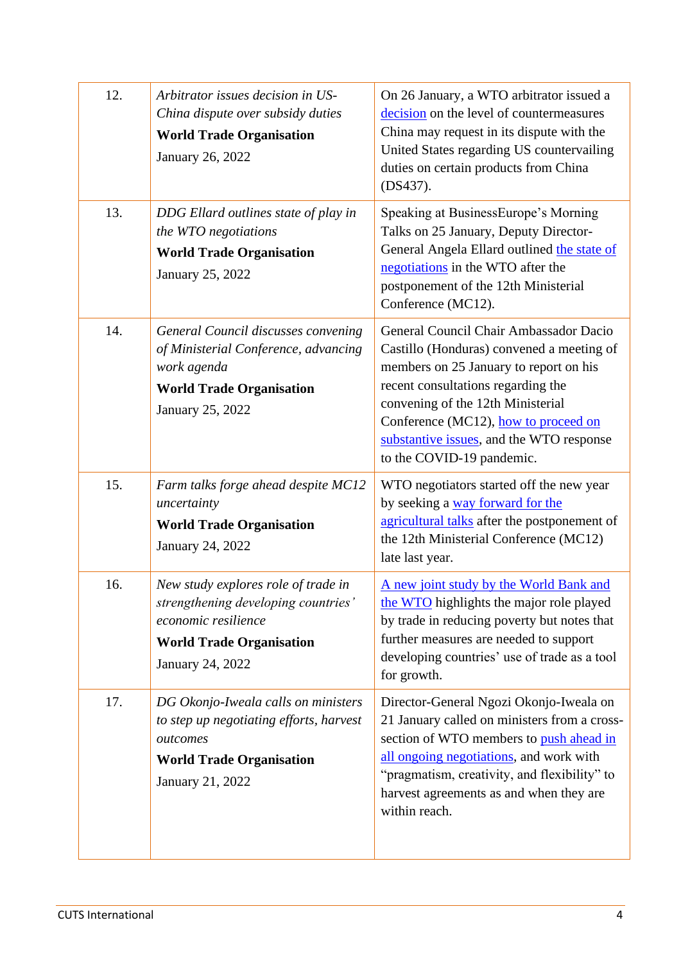| 12. | Arbitrator issues decision in US-<br>China dispute over subsidy duties<br><b>World Trade Organisation</b><br>January 26, 2022                            | On 26 January, a WTO arbitrator issued a<br>decision on the level of countermeasures<br>China may request in its dispute with the<br>United States regarding US countervailing<br>duties on certain products from China<br>(DS437).                                                                                       |
|-----|----------------------------------------------------------------------------------------------------------------------------------------------------------|---------------------------------------------------------------------------------------------------------------------------------------------------------------------------------------------------------------------------------------------------------------------------------------------------------------------------|
| 13. | DDG Ellard outlines state of play in<br>the WTO negotiations<br><b>World Trade Organisation</b><br>January 25, 2022                                      | Speaking at BusinessEurope's Morning<br>Talks on 25 January, Deputy Director-<br>General Angela Ellard outlined the state of<br>negotiations in the WTO after the<br>postponement of the 12th Ministerial<br>Conference (MC12).                                                                                           |
| 14. | General Council discusses convening<br>of Ministerial Conference, advancing<br>work agenda<br><b>World Trade Organisation</b><br>January 25, 2022        | General Council Chair Ambassador Dacio<br>Castillo (Honduras) convened a meeting of<br>members on 25 January to report on his<br>recent consultations regarding the<br>convening of the 12th Ministerial<br>Conference (MC12), how to proceed on<br>substantive issues, and the WTO response<br>to the COVID-19 pandemic. |
| 15. | Farm talks forge ahead despite MC12<br>uncertainty<br><b>World Trade Organisation</b><br>January 24, 2022                                                | WTO negotiators started off the new year<br>by seeking a way forward for the<br>agricultural talks after the postponement of<br>the 12th Ministerial Conference (MC12)<br>late last year.                                                                                                                                 |
| 16. | New study explores role of trade in<br>strengthening developing countries'<br>economic resilience<br><b>World Trade Organisation</b><br>January 24, 2022 | A new joint study by the World Bank and<br>the WTO highlights the major role played<br>by trade in reducing poverty but notes that<br>further measures are needed to support<br>developing countries' use of trade as a tool<br>for growth.                                                                               |
| 17. | DG Okonjo-Iweala calls on ministers<br>to step up negotiating efforts, harvest<br>outcomes<br><b>World Trade Organisation</b><br>January 21, 2022        | Director-General Ngozi Okonjo-Iweala on<br>21 January called on ministers from a cross-<br>section of WTO members to push ahead in<br>all ongoing negotiations, and work with<br>"pragmatism, creativity, and flexibility" to<br>harvest agreements as and when they are<br>within reach.                                 |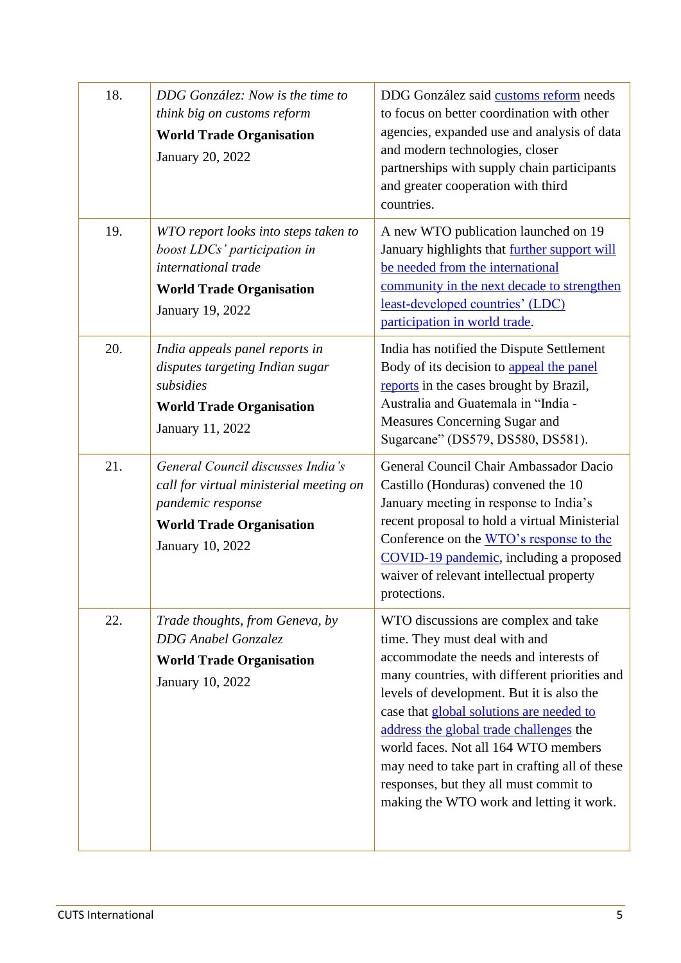| 18. | DDG González: Now is the time to<br>think big on customs reform<br><b>World Trade Organisation</b><br>January 20, 2022                                   | DDG González said customs reform needs<br>to focus on better coordination with other<br>agencies, expanded use and analysis of data<br>and modern technologies, closer<br>partnerships with supply chain participants<br>and greater cooperation with third<br>countries.                                                                                                                                                                                                            |
|-----|----------------------------------------------------------------------------------------------------------------------------------------------------------|--------------------------------------------------------------------------------------------------------------------------------------------------------------------------------------------------------------------------------------------------------------------------------------------------------------------------------------------------------------------------------------------------------------------------------------------------------------------------------------|
| 19. | WTO report looks into steps taken to<br>boost LDCs' participation in<br>international trade<br><b>World Trade Organisation</b><br>January 19, 2022       | A new WTO publication launched on 19<br>January highlights that further support will<br>be needed from the international<br>community in the next decade to strengthen<br>least-developed countries' (LDC)<br>participation in world trade.                                                                                                                                                                                                                                          |
| 20. | India appeals panel reports in<br>disputes targeting Indian sugar<br>subsidies<br><b>World Trade Organisation</b><br>January 11, 2022                    | India has notified the Dispute Settlement<br>Body of its decision to appeal the panel<br>reports in the cases brought by Brazil,<br>Australia and Guatemala in "India -<br>Measures Concerning Sugar and<br>Sugarcane" (DS579, DS580, DS581).                                                                                                                                                                                                                                        |
| 21. | General Council discusses India's<br>call for virtual ministerial meeting on<br>pandemic response<br><b>World Trade Organisation</b><br>January 10, 2022 | General Council Chair Ambassador Dacio<br>Castillo (Honduras) convened the 10<br>January meeting in response to India's<br>recent proposal to hold a virtual Ministerial<br>Conference on the WTO's response to the<br>COVID-19 pandemic, including a proposed<br>waiver of relevant intellectual property<br>protections.                                                                                                                                                           |
| 22. | Trade thoughts, from Geneva, by<br><b>DDG</b> Anabel Gonzalez<br><b>World Trade Organisation</b><br>January 10, 2022                                     | WTO discussions are complex and take<br>time. They must deal with and<br>accommodate the needs and interests of<br>many countries, with different priorities and<br>levels of development. But it is also the<br>case that global solutions are needed to<br>address the global trade challenges the<br>world faces. Not all 164 WTO members<br>may need to take part in crafting all of these<br>responses, but they all must commit to<br>making the WTO work and letting it work. |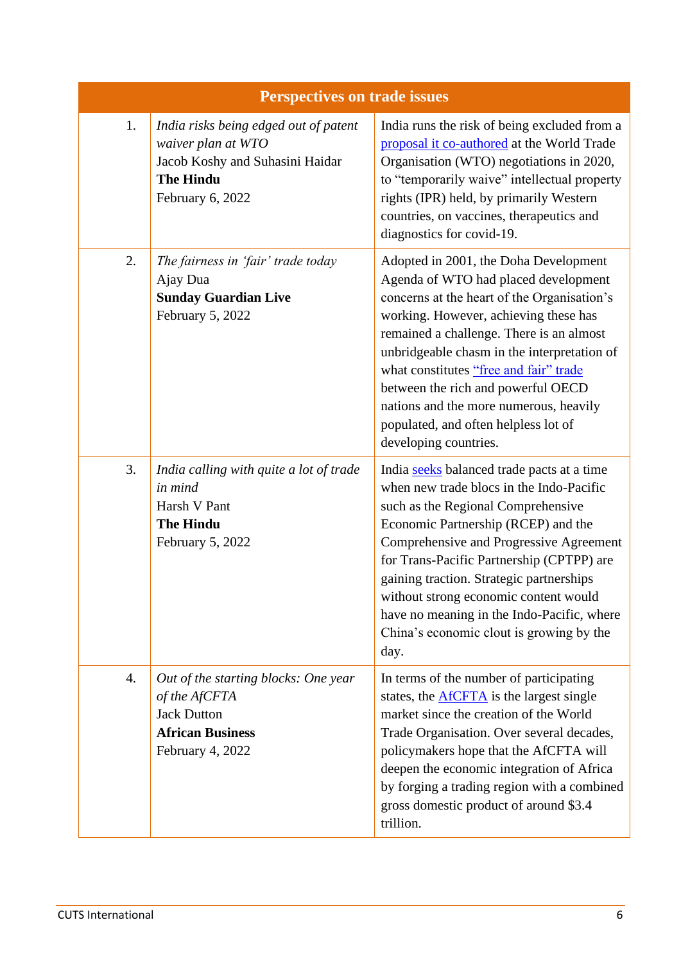| <b>Perspectives on trade issues</b> |                                                                                                                                        |                                                                                                                                                                                                                                                                                                                                                                                                                                                             |
|-------------------------------------|----------------------------------------------------------------------------------------------------------------------------------------|-------------------------------------------------------------------------------------------------------------------------------------------------------------------------------------------------------------------------------------------------------------------------------------------------------------------------------------------------------------------------------------------------------------------------------------------------------------|
| 1.                                  | India risks being edged out of patent<br>waiver plan at WTO<br>Jacob Koshy and Suhasini Haidar<br><b>The Hindu</b><br>February 6, 2022 | India runs the risk of being excluded from a<br>proposal it co-authored at the World Trade<br>Organisation (WTO) negotiations in 2020,<br>to "temporarily waive" intellectual property<br>rights (IPR) held, by primarily Western<br>countries, on vaccines, therapeutics and<br>diagnostics for covid-19.                                                                                                                                                  |
| 2.                                  | The fairness in 'fair' trade today<br>Ajay Dua<br><b>Sunday Guardian Live</b><br>February 5, 2022                                      | Adopted in 2001, the Doha Development<br>Agenda of WTO had placed development<br>concerns at the heart of the Organisation's<br>working. However, achieving these has<br>remained a challenge. There is an almost<br>unbridgeable chasm in the interpretation of<br>what constitutes "free and fair" trade<br>between the rich and powerful OECD<br>nations and the more numerous, heavily<br>populated, and often helpless lot of<br>developing countries. |
| 3.                                  | India calling with quite a lot of trade<br>in mind<br>Harsh V Pant<br><b>The Hindu</b><br>February 5, 2022                             | India seeks balanced trade pacts at a time<br>when new trade blocs in the Indo-Pacific<br>such as the Regional Comprehensive<br>Economic Partnership (RCEP) and the<br>Comprehensive and Progressive Agreement<br>for Trans-Pacific Partnership (CPTPP) are<br>gaining traction. Strategic partnerships<br>without strong economic content would<br>have no meaning in the Indo-Pacific, where<br>China's economic clout is growing by the<br>day.          |
| 4.                                  | Out of the starting blocks: One year<br>of the AfCFTA<br><b>Jack Dutton</b><br><b>African Business</b><br>February 4, 2022             | In terms of the number of participating<br>states, the $\triangle$ fCFT $\triangle$ is the largest single<br>market since the creation of the World<br>Trade Organisation. Over several decades,<br>policymakers hope that the AfCFTA will<br>deepen the economic integration of Africa<br>by forging a trading region with a combined<br>gross domestic product of around \$3.4<br>trillion.                                                               |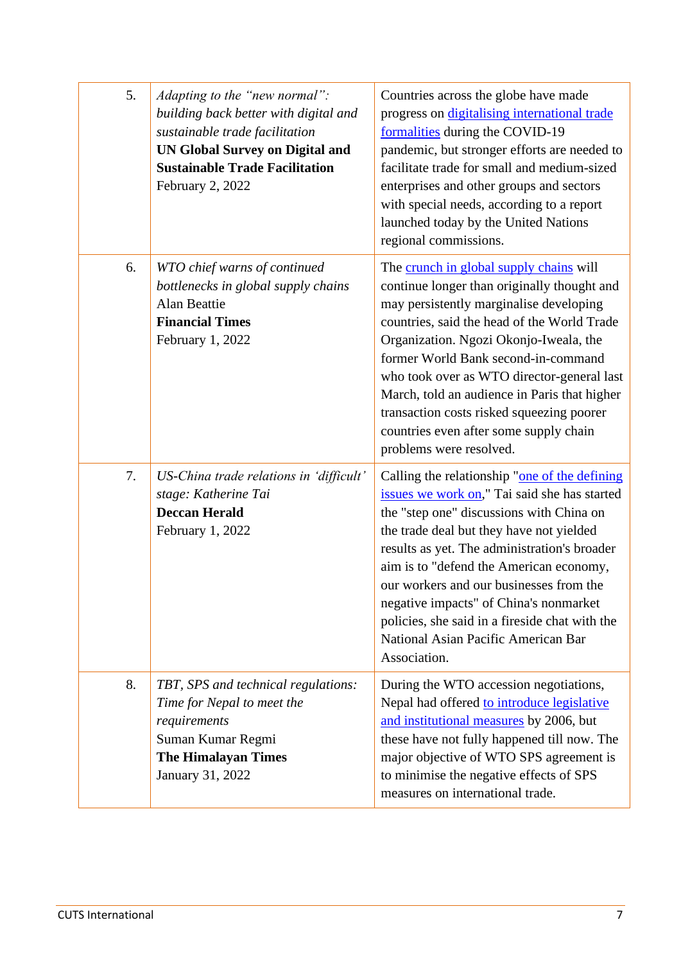| 5. | Adapting to the "new normal":<br>building back better with digital and<br>sustainable trade facilitation<br><b>UN Global Survey on Digital and</b><br><b>Sustainable Trade Facilitation</b><br>February 2, 2022 | Countries across the globe have made<br>progress on digitalising international trade<br>formalities during the COVID-19<br>pandemic, but stronger efforts are needed to<br>facilitate trade for small and medium-sized<br>enterprises and other groups and sectors<br>with special needs, according to a report<br>launched today by the United Nations<br>regional commissions.                                                                                                  |
|----|-----------------------------------------------------------------------------------------------------------------------------------------------------------------------------------------------------------------|-----------------------------------------------------------------------------------------------------------------------------------------------------------------------------------------------------------------------------------------------------------------------------------------------------------------------------------------------------------------------------------------------------------------------------------------------------------------------------------|
| 6. | WTO chief warns of continued<br>bottlenecks in global supply chains<br>Alan Beattie<br><b>Financial Times</b><br>February 1, 2022                                                                               | The crunch in global supply chains will<br>continue longer than originally thought and<br>may persistently marginalise developing<br>countries, said the head of the World Trade<br>Organization. Ngozi Okonjo-Iweala, the<br>former World Bank second-in-command<br>who took over as WTO director-general last<br>March, told an audience in Paris that higher<br>transaction costs risked squeezing poorer<br>countries even after some supply chain<br>problems were resolved. |
| 7. | US-China trade relations in 'difficult'<br>stage: Katherine Tai<br><b>Deccan Herald</b><br>February 1, 2022                                                                                                     | Calling the relationship "one of the defining<br>issues we work on," Tai said she has started<br>the "step one" discussions with China on<br>the trade deal but they have not yielded<br>results as yet. The administration's broader<br>aim is to "defend the American economy,<br>our workers and our businesses from the<br>negative impacts" of China's nonmarket<br>policies, she said in a fireside chat with the<br>National Asian Pacific American Bar<br>Association.    |
| 8. | TBT, SPS and technical regulations:<br>Time for Nepal to meet the<br>requirements<br>Suman Kumar Regmi<br><b>The Himalayan Times</b><br>January 31, 2022                                                        | During the WTO accession negotiations,<br>Nepal had offered to introduce legislative<br>and institutional measures by 2006, but<br>these have not fully happened till now. The<br>major objective of WTO SPS agreement is<br>to minimise the negative effects of SPS<br>measures on international trade.                                                                                                                                                                          |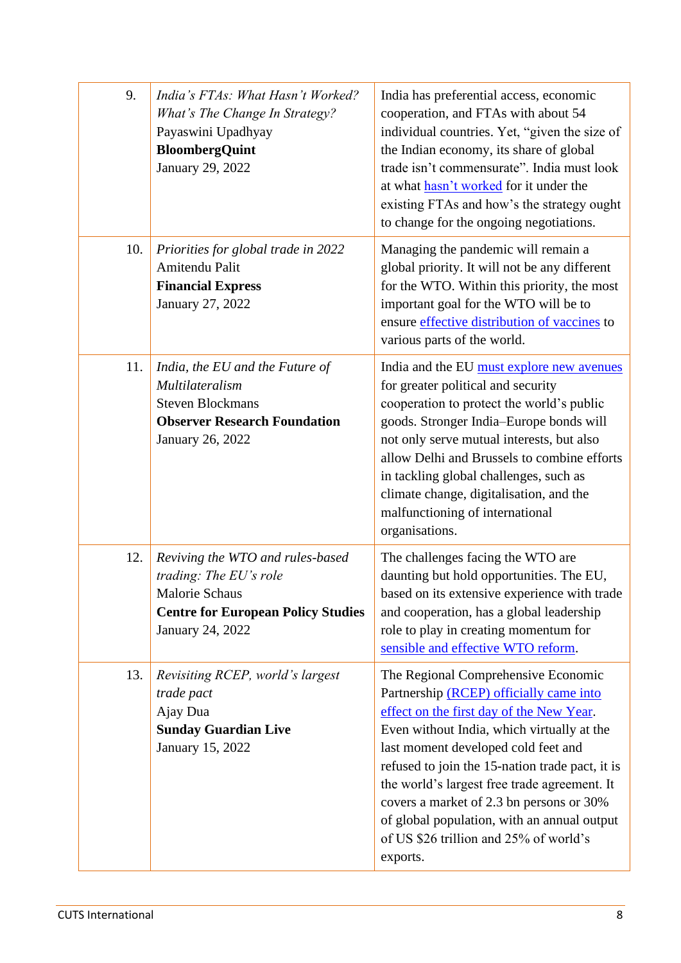| 9.  | India's FTAs: What Hasn't Worked?<br>What's The Change In Strategy?<br>Payaswini Upadhyay<br><b>BloombergQuint</b><br>January 29, 2022        | India has preferential access, economic<br>cooperation, and FTAs with about 54<br>individual countries. Yet, "given the size of<br>the Indian economy, its share of global<br>trade isn't commensurate". India must look<br>at what hasn't worked for it under the<br>existing FTAs and how's the strategy ought<br>to change for the ongoing negotiations.                                                                                                         |
|-----|-----------------------------------------------------------------------------------------------------------------------------------------------|---------------------------------------------------------------------------------------------------------------------------------------------------------------------------------------------------------------------------------------------------------------------------------------------------------------------------------------------------------------------------------------------------------------------------------------------------------------------|
| 10. | Priorities for global trade in 2022<br>Amitendu Palit<br><b>Financial Express</b><br>January 27, 2022                                         | Managing the pandemic will remain a<br>global priority. It will not be any different<br>for the WTO. Within this priority, the most<br>important goal for the WTO will be to<br>ensure effective distribution of vaccines to<br>various parts of the world.                                                                                                                                                                                                         |
| 11. | India, the EU and the Future of<br>Multilateralism<br><b>Steven Blockmans</b><br><b>Observer Research Foundation</b><br>January 26, 2022      | India and the EU must explore new avenues<br>for greater political and security<br>cooperation to protect the world's public<br>goods. Stronger India-Europe bonds will<br>not only serve mutual interests, but also<br>allow Delhi and Brussels to combine efforts<br>in tackling global challenges, such as<br>climate change, digitalisation, and the<br>malfunctioning of international<br>organisations.                                                       |
| 12. | Reviving the WTO and rules-based<br>trading: The EU's role<br>Malorie Schaus<br><b>Centre for European Policy Studies</b><br>January 24, 2022 | The challenges facing the WTO are<br>daunting but hold opportunities. The EU,<br>based on its extensive experience with trade<br>and cooperation, has a global leadership<br>role to play in creating momentum for<br>sensible and effective WTO reform.                                                                                                                                                                                                            |
| 13. | Revisiting RCEP, world's largest<br>trade pact<br>Ajay Dua<br><b>Sunday Guardian Live</b><br>January 15, 2022                                 | The Regional Comprehensive Economic<br>Partnership (RCEP) officially came into<br>effect on the first day of the New Year.<br>Even without India, which virtually at the<br>last moment developed cold feet and<br>refused to join the 15-nation trade pact, it is<br>the world's largest free trade agreement. It<br>covers a market of 2.3 bn persons or 30%<br>of global population, with an annual output<br>of US \$26 trillion and 25% of world's<br>exports. |